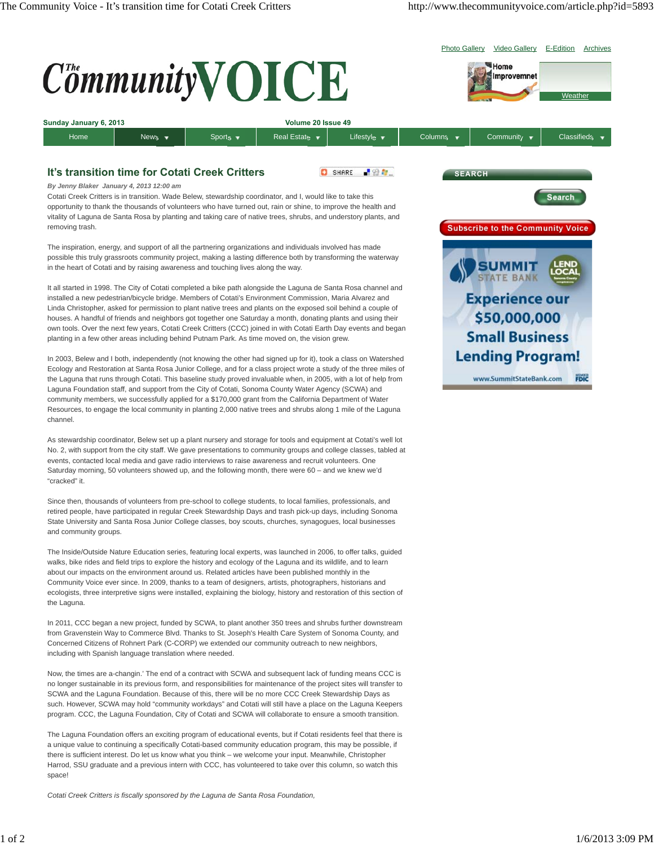

In 2003, Belew and I both, independently (not knowing the other had signed up for it), took a class on Watershed Ecology and Restoration at Santa Rosa Junior College, and for a class project wrote a study of the three miles of the Laguna that runs through Cotati. This baseline study proved invaluable when, in 2005, with a lot of help from Laguna Foundation staff, and support from the City of Cotati, Sonoma County Water Agency (SCWA) and community members, we successfully applied for a \$170,000 grant from the California Department of Water Resources, to engage the local community in planting 2,000 native trees and shrubs along 1 mile of the Laguna channel.

As stewardship coordinator, Belew set up a plant nursery and storage for tools and equipment at Cotati's well lot No. 2, with support from the city staff. We gave presentations to community groups and college classes, tabled at events, contacted local media and gave radio interviews to raise awareness and recruit volunteers. One Saturday morning, 50 volunteers showed up, and the following month, there were 60 – and we knew we'd "cracked" it.

Since then, thousands of volunteers from pre-school to college students, to local families, professionals, and retired people, have participated in regular Creek Stewardship Days and trash pick-up days, including Sonoma State University and Santa Rosa Junior College classes, boy scouts, churches, synagogues, local businesses and community groups.

The Inside/Outside Nature Education series, featuring local experts, was launched in 2006, to offer talks, guided walks, bike rides and field trips to explore the history and ecology of the Laguna and its wildlife, and to learn about our impacts on the environment around us. Related articles have been published monthly in the Community Voice ever since. In 2009, thanks to a team of designers, artists, photographers, historians and ecologists, three interpretive signs were installed, explaining the biology, history and restoration of this section of the Laguna.

In 2011, CCC began a new project, funded by SCWA, to plant another 350 trees and shrubs further downstream from Gravenstein Way to Commerce Blvd. Thanks to St. Joseph's Health Care System of Sonoma County, and Concerned Citizens of Rohnert Park (C-CORP) we extended our community outreach to new neighbors, including with Spanish language translation where needed.

Now, the times are a-changin.' The end of a contract with SCWA and subsequent lack of funding means CCC is no longer sustainable in its previous form, and responsibilities for maintenance of the project sites will transfer to SCWA and the Laguna Foundation. Because of this, there will be no more CCC Creek Stewardship Days as such. However, SCWA may hold "community workdays" and Cotati will still have a place on the Laguna Keepers program. CCC, the Laguna Foundation, City of Cotati and SCWA will collaborate to ensure a smooth transition.

The Laguna Foundation offers an exciting program of educational events, but if Cotati residents feel that there is a unique value to continuing a specifically Cotati-based community education program, this may be possible, if there is sufficient interest. Do let us know what you think – we welcome your input. Meanwhile, Christopher Harrod, SSU graduate and a previous intern with CCC, has volunteered to take over this column, so watch this space!

*Cotati Creek Critters is fiscally sponsored by the Laguna de Santa Rosa Foundation,*



**FDIC**